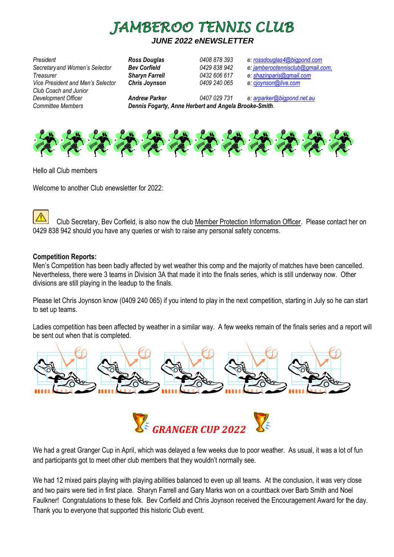

# *JUNE 2022 eNEWSLETTER*

*President Ross Douglas 0408 878 393 e: [rossdouglas4@bigpond.com](mailto:rossdouglas4@bigpond.com) Secretaryand Women's Selector Bev Corfield 0429 838 942 e: [jamberootennisclub@gmail.com](mailto:jamberootennisclub@gmail.com). Treasurer Sharyn Farrell 0432 606 617 e: [shazinparis@gmail.com](mailto:shazinparis@gmail.com) Vice President and Men's Selector Chris Joynson 0409 240 065 e: [cjoynson@live.com](mailto:cjoynson@live.com) Club Coach and Junior Development Officer Andrew Parker 0407 029 731 e: [arparker@bigpond.net.au](mailto:arparker@bigpond.net.au) Committee Members Dennis Fogarty, Anne Herbert and Angela Brooke-Smith.* 



Hello all Club members

Welcome to another Club *e*newsletter for 2022:

Club Secretary, Bev Corfield, is also now the club Member Protection Information Officer. Please contact her on 0[429](http://2014.igem.org/Team:Hong_Kong_HKUST/wetlab) 838 [94](http://2014.igem.org/Team:Hong_Kong_HKUST/wetlab)2 should you have any queries or wish to raise any personal safety concerns.

#### **[Com](http://2014.igem.org/Team:Hong_Kong_HKUST/wetlab)petition Reports:**

[Men](http://2014.igem.org/Team:Hong_Kong_HKUST/wetlab)'s Competition has been badly affected by wet weather this comp and the majority of matches have been cancelled. Nevertheless, there were 3 teams in Division 3A that made it into the finals series, which is still underway now. Other divisions are still playing in the leadup to the finals.

Please let Chris Joynson know (0409 240 065) if you intend to play in the next competition, starting in July so he can start to set up teams.

Ladies competition has been affected by weather in a similar way. A few weeks remain of the finals series and a report will be sent out when that is completed.





We had a great Granger Cup in April, which was delayed a few weeks due to poor weather. As usual, it was a lot of fun and participants got to meet other club members that they wouldn't normally see.

We had 12 mixed pairs playing with playing abilities balanced to even up all teams. At the conclusion, it was very close and two pairs were tied in first place. Sharyn Farrell and Gary Marks won on a countback over Barb Smith and Noel Faulkner! Congratulations to these folk. Bev Corfield and Chris Joynson received the Encouragement Award for the day. Thank you to everyone that supported this historic Club event.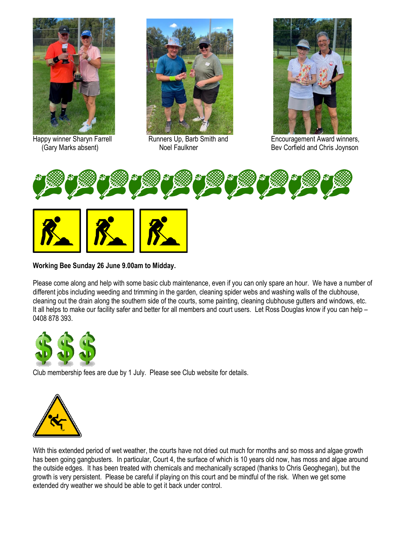





Happy winner Sharyn Farrell **Runners Up, Barb Smith and Fisher Australian** Encouragement Award winners, (Gary Marks absent) Noel Faulkner Bev Corfield and Chris Joynson





# **Working Bee Sunday 26 June 9.00am to Midday.**

Please come along and help with some basic club maintenance, even if you can only spare an hour. We have a number of different jobs including weeding and trimming in the garden, cleaning spider webs and washing walls of the clubhouse, cleaning out the drain along the southern side of the courts, some painting, cleaning clubhouse gutters and windows, etc. It all helps to make our facility safer and better for all members and court users. Let Ross Douglas know if you can help – 0408 878 393.



Club me[mbe](https://freepngimg.com/png/25923-green-dollar-symbol-free-download)rship [fe](https://freepngimg.com/png/25923-green-dollar-symbol-free-download)es ar[e d](https://freepngimg.com/png/25923-green-dollar-symbol-free-download)ue by 1 July. Please see Club website for details.



With this extended period of wet weather, the courts have not dried out much for months and so moss and algae growth has been going gangbusters. In particular, Court 4, the surface of which is 10 years old now, has moss and algae around t[he out](https://creativecommons.org/licenses/by-nc/3.0/)si[de edg](https://creativecommons.org/licenses/by-nc/3.0/)e[s. It h](https://creativecommons.org/licenses/by-nc/3.0/)as been treated with chemicals and mechanically scraped (thanks to Chris Geoghegan), but the g[rowth](https://creativecommons.org/licenses/by-nc/3.0/) is [very persisten](https://creativecommons.org/licenses/by-nc/3.0/)t. Please be careful if playing on this court and be mindful of the risk. When we get some e[xten](https://creativecommons.org/licenses/by-nc/3.0/)de[d dry](https://creativecommons.org/licenses/by-nc/3.0/) we[athe](https://creativecommons.org/licenses/by-nc/3.0/)r we should be able to get it back under control.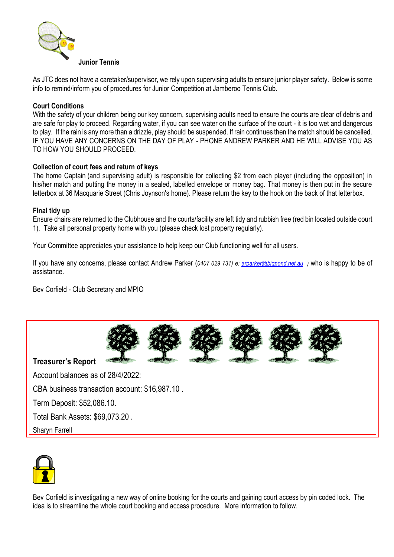

[As JTC](http://www.pngall.com/tennis-png) does not have a caretaker/supervisor, we rely upon supervising adults to ensure junior player safety. Below is some info to remind/inform you of procedures for Junior Competition at Jamberoo Tennis Club.

## **[Court Con](https://creativecommons.org/licenses/by-nc/3.0/)ditions**

With the safety of your children being our key concern, supervising adults need to ensure the courts are clear of debris and are safe for play to proceed. Regarding water, if you can see water on the surface of the court - it is too wet and dangerous to play. If the rain is any more than a drizzle, play should be suspended. If rain continues then the match should be cancelled. IF YOU HAVE ANY CONCERNS ON THE DAY OF PLAY - PHONE ANDREW PARKER AND HE WILL ADVISE YOU AS TO HOW YOU SHOULD PROCEED.

### **Collection of court fees and return of keys**

The home Captain (and supervising adult) is responsible for collecting \$2 from each player (including the opposition) in his/her match and putting the money in a sealed, labelled envelope or money bag. That money is then put in the secure letterbox at 36 Macquarie Street (Chris Joynson's home). Please return the key to the hook on the back of that letterbox.

#### **Final tidy up**

Ensure chairs are returned to the Clubhouse and the courts/facility are left tidy and rubbish free (red bin located outside court 1). Take all personal property home with you (please check lost property regularly).

Your Committee appreciates your assistance to help keep our Club functioning well for all users.

If you have any concerns, please contact Andrew Parker (*0407 029 731) e: [arparker@bigpond.net.au](mailto:arparker@bigpond.net.auw) )* who is happy to be of assistance.

Bev Corfield - Club Secretary and MPIO



**Treasurer's Report** 

Account balances as of 28/4/2022:

CBA business transaction account: \$16,987.10 .

Term Deposit: \$52,086.10.

Total Bank Assets: \$69,073.20 .

Sharyn Farrell



Bev Corfield is investigating a new way of online booking for the courts and gaining court access by pin coded lock. The idea is to streamline the whole court booking and access procedure. More information to follow.